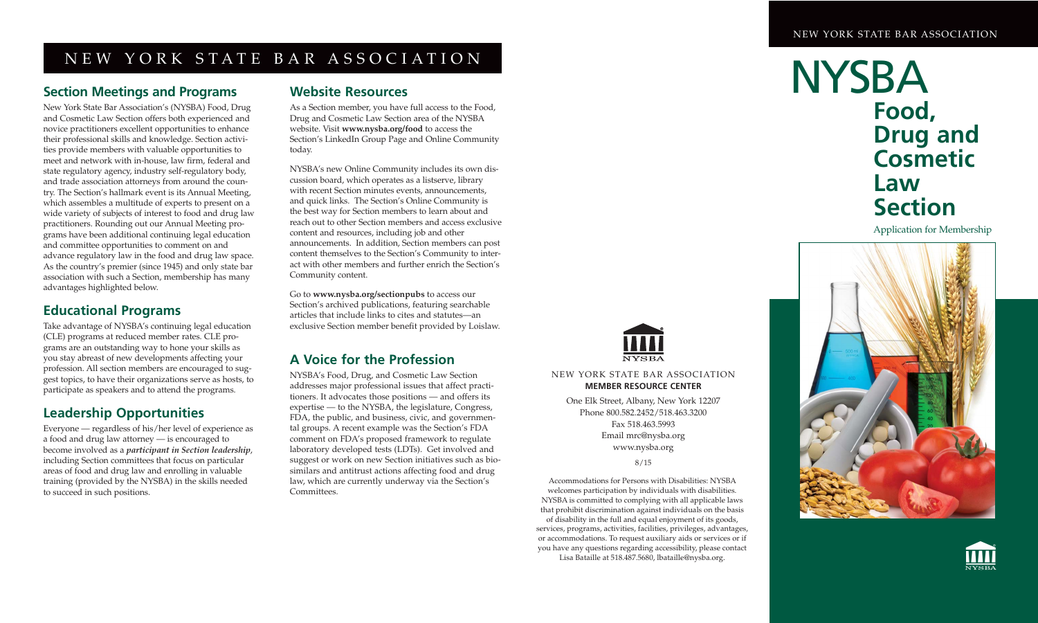## NEW YORK STATE BAR ASSOCIATION

#### **Section Meetings and Programs**

New York State Bar Association's (NYSBA) Food, Drug and Cosmetic Law Section offers both experienced and novice practitioners excellent opportunities to enhance their professional skills and knowledge. Section activities provide members with valuable opportunities to meet and network with in-house, law firm, federal and state regulatory agency, industry self-regulatory body, and trade association attorneys from around the country. The Section's hallmark event is its Annual Meeting, which assembles a multitude of experts to present on a wide variety of subjects of interest to food and drug law practitioners. Rounding out our Annual Meeting programs have been additional continuing legal education and committee opportunities to comment on and advance regulatory law in the food and drug law space. As the country's premier (since 1945) and only state bar association with such a Section, membership has many advantages highlighted below.

### **Educational Programs**

Take advantage of NYSBA's continuing legal education (CLE) programs at reduced member rates. CLE programs are an outstanding way to hone your skills as you stay abreast of new developments affecting your profession. All section members are encouraged to suggest topics, to have their organizations serve as hosts, to participate as speakers and to attend the programs.

## **Leadership Opportunities**

Everyone — regardless of his/her level of experience as a food and drug law attorney — is encouraged to become involved as a *participant in Section leadership*, including Section committees that focus on particular areas of food and drug law and enrolling in valuable training (provided by the NYSBA) in the skills needed to succeed in such positions.

#### **Website Resources**

As a Section member, you have full access to the Food, Drug and Cosmetic Law Section area of the NYSBA website. Visit **www.nysba.org/food** to access the Section's LinkedIn Group Page and Online Community today.

NYSBA's new Online Community includes its own discussion board, which operates as a listserve, library with recent Section minutes events, announcements, and quick links. The Section's Online Community is the best way for Section members to learn about and reach out to other Section members and access exclusive content and resources, including job and other announcements. In addition, Section members can post content themselves to the Section's Community to interact with other members and further enrich the Section's Community content.

Go to **www.nysba.org/sectionpubs** to access our Section's archived publications, featuring searchable articles that include links to cites and statutes—an exclusive Section member benefit provided by Loislaw.

## **A Voice for the Profession**

NYSBA's Food, Drug, and Cosmetic Law Section addresses major professional issues that affect practitioners. It advocates those positions — and offers its expertise — to the NYSBA, the legislature, Congress, FDA, the public, and business, civic, and governmental groups. A recent example was the Section's FDA comment on FDA's proposed framework to regulate laboratory developed tests (LDTs). Get involved and suggest or work on new Section initiatives such as biosimilars and antitrust actions affecting food and drug law, which are currently underway via the Section's Committees.



NEW YORK STATE BAR ASSOCIATION **MEMBER RESOURCE CENTER**

One Elk Street, Albany, New York 12207 Phone 800.582.2452/518.463.3200 Fax 518.463.5993 Email mrc@nysba.org www.nysba.org

8/15

Accommodations for Persons with Disabilities: NYSBA welcomes participation by individuals with disabilities. NYSBA is committed to complying with all applicable laws that prohibit discrimination against individuals on the basis of disability in the full and equal enjoyment of its goods, services, programs, activities, facilities, privileges, advantages, or accommodations. To request auxiliary aids or services or if you have any questions regarding accessibility, please contact Lisa Bataille at 518.487.5680, lbataille@nysba.org.

## **NYSBA Food, Drug and Cosmetic Law Section**

Application for Membership